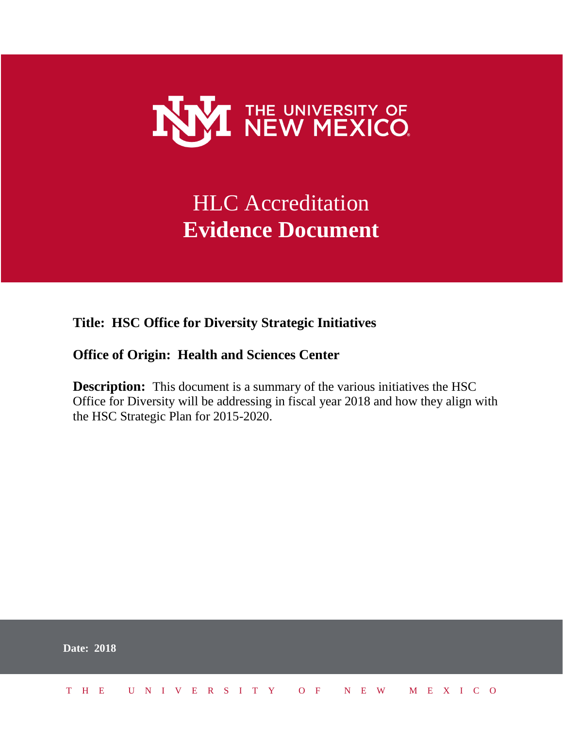

# HLC Accreditation **Evidence Document**

## **Title: HSC Office for Diversity Strategic Initiatives**

### **Office of Origin: Health and Sciences Center**

**Description:** This document is a summary of the various initiatives the HSC Office for Diversity will be addressing in fiscal year 2018 and how they align with the HSC Strategic Plan for 2015-2020.

|  | <b>Date: 2018</b>            |  |  |  |  |  |  |  |  |  |  |  |  |
|--|------------------------------|--|--|--|--|--|--|--|--|--|--|--|--|
|  | THE UNIVERSITY OF NEW MEXICO |  |  |  |  |  |  |  |  |  |  |  |  |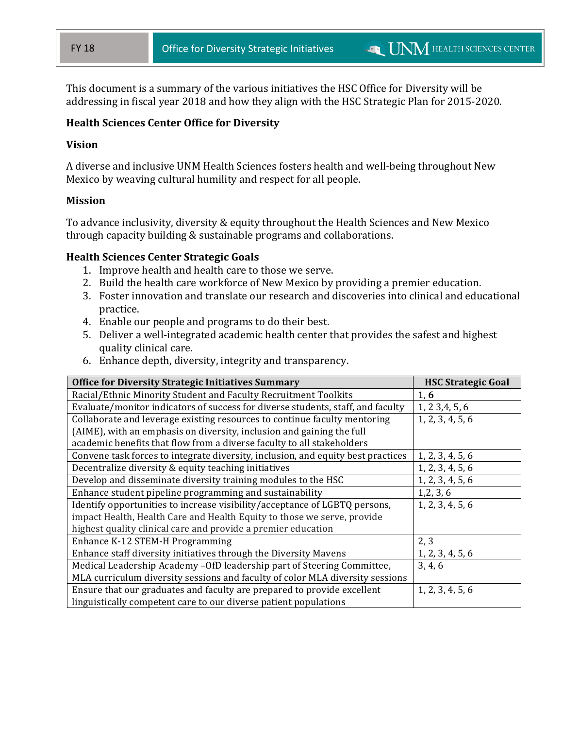This document is a summary of the various initiatives the HSC Office for Diversity will be addressing in fiscal year 2018 and how they align with the HSC Strategic Plan for 2015-2020.

#### **Health Sciences Center Office for Diversity**

**Strategic Initiatives**

#### **Vision**

A diverse and inclusive UNM Health Sciences fosters health and well-being throughout New Mexico by weaving cultural humility and respect for all people.

#### **Mission**

To advance inclusivity, diversity & equity throughout the Health Sciences and New Mexico through capacity building & sustainable programs and collaborations.

#### **Health Sciences Center Strategic Goals**

- 1. Improve health and health care to those we serve.
- 2. Build the health care workforce of New Mexico by providing a premier education.
- 3. Foster innovation and translate our research and discoveries into clinical and educational practice.
- 4. Enable our people and programs to do their best.
- 5. Deliver a well-integrated academic health center that provides the safest and highest quality clinical care.
- 6. Enhance depth, diversity, integrity and transparency.

| <b>Office for Diversity Strategic Initiatives Summary</b>                        | <b>HSC Strategic Goal</b> |  |  |  |  |
|----------------------------------------------------------------------------------|---------------------------|--|--|--|--|
| Racial/Ethnic Minority Student and Faculty Recruitment Toolkits                  | 1, 6                      |  |  |  |  |
| Evaluate/monitor indicators of success for diverse students, staff, and faculty  | 1, 2 3, 4, 5, 6           |  |  |  |  |
| Collaborate and leverage existing resources to continue faculty mentoring        | 1, 2, 3, 4, 5, 6          |  |  |  |  |
| (AIME), with an emphasis on diversity, inclusion and gaining the full            |                           |  |  |  |  |
| academic benefits that flow from a diverse faculty to all stakeholders           |                           |  |  |  |  |
| Convene task forces to integrate diversity, inclusion, and equity best practices | 1, 2, 3, 4, 5, 6          |  |  |  |  |
| Decentralize diversity & equity teaching initiatives                             | 1, 2, 3, 4, 5, 6          |  |  |  |  |
| Develop and disseminate diversity training modules to the HSC                    | 1, 2, 3, 4, 5, 6          |  |  |  |  |
| Enhance student pipeline programming and sustainability                          | 1, 2, 3, 6                |  |  |  |  |
| Identify opportunities to increase visibility/acceptance of LGBTQ persons,       | 1, 2, 3, 4, 5, 6          |  |  |  |  |
| impact Health, Health Care and Health Equity to those we serve, provide          |                           |  |  |  |  |
| highest quality clinical care and provide a premier education                    |                           |  |  |  |  |
| Enhance K-12 STEM-H Programming                                                  | 2, 3                      |  |  |  |  |
| Enhance staff diversity initiatives through the Diversity Mavens                 | 1, 2, 3, 4, 5, 6          |  |  |  |  |
| Medical Leadership Academy - OfD leadership part of Steering Committee,          | 3, 4, 6                   |  |  |  |  |
| MLA curriculum diversity sessions and faculty of color MLA diversity sessions    |                           |  |  |  |  |
| Ensure that our graduates and faculty are prepared to provide excellent          | 1, 2, 3, 4, 5, 6          |  |  |  |  |
| linguistically competent care to our diverse patient populations                 |                           |  |  |  |  |